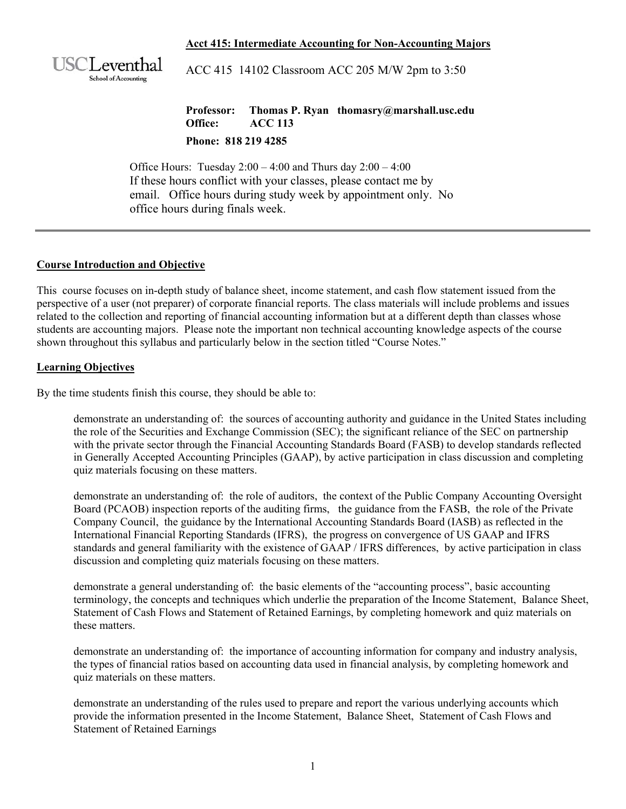#### **Acct 415: Intermediate Accounting for Non-Accounting Majors**



ACC 415 14102 Classroom ACC 205 M/W 2pm to 3:50

**Professor: Thomas P. Ryan thomasry@marshall.usc.edu Office: ACC 113 Phone: 818 219 4285** 

Office Hours: Tuesday  $2:00 - 4:00$  and Thurs day  $2:00 - 4:00$ If these hours conflict with your classes, please contact me by email. Office hours during study week by appointment only. No office hours during finals week.

#### **Course Introduction and Objective**

This course focuses on in-depth study of balance sheet, income statement, and cash flow statement issued from the perspective of a user (not preparer) of corporate financial reports. The class materials will include problems and issues related to the collection and reporting of financial accounting information but at a different depth than classes whose students are accounting majors. Please note the important non technical accounting knowledge aspects of the course shown throughout this syllabus and particularly below in the section titled "Course Notes."

#### **Learning Objectives**

By the time students finish this course, they should be able to:

demonstrate an understanding of: the sources of accounting authority and guidance in the United States including the role of the Securities and Exchange Commission (SEC); the significant reliance of the SEC on partnership with the private sector through the Financial Accounting Standards Board (FASB) to develop standards reflected in Generally Accepted Accounting Principles (GAAP), by active participation in class discussion and completing quiz materials focusing on these matters.

demonstrate an understanding of: the role of auditors, the context of the Public Company Accounting Oversight Board (PCAOB) inspection reports of the auditing firms, the guidance from the FASB, the role of the Private Company Council, the guidance by the International Accounting Standards Board (IASB) as reflected in the International Financial Reporting Standards (IFRS), the progress on convergence of US GAAP and IFRS standards and general familiarity with the existence of GAAP / IFRS differences, by active participation in class discussion and completing quiz materials focusing on these matters.

demonstrate a general understanding of: the basic elements of the "accounting process", basic accounting terminology, the concepts and techniques which underlie the preparation of the Income Statement, Balance Sheet, Statement of Cash Flows and Statement of Retained Earnings, by completing homework and quiz materials on these matters.

demonstrate an understanding of: the importance of accounting information for company and industry analysis, the types of financial ratios based on accounting data used in financial analysis, by completing homework and quiz materials on these matters.

demonstrate an understanding of the rules used to prepare and report the various underlying accounts which provide the information presented in the Income Statement, Balance Sheet, Statement of Cash Flows and Statement of Retained Earnings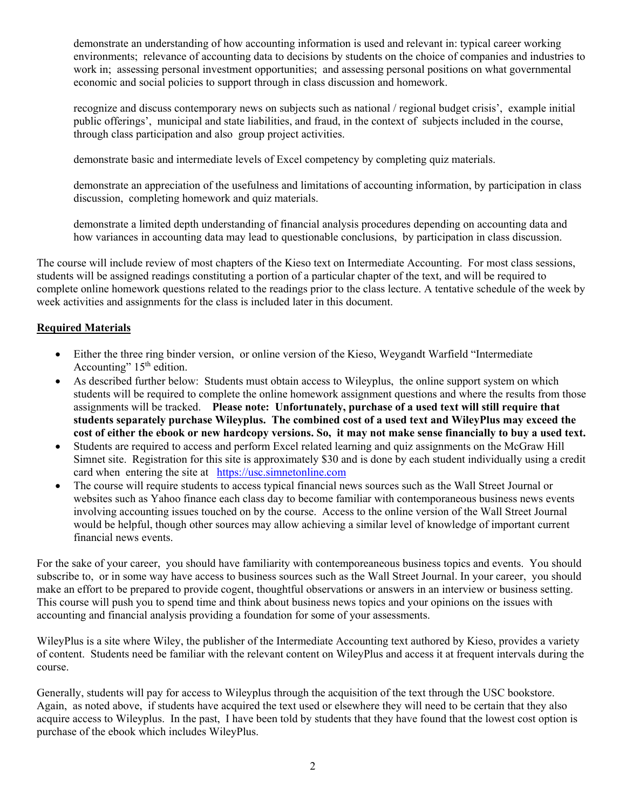demonstrate an understanding of how accounting information is used and relevant in: typical career working environments; relevance of accounting data to decisions by students on the choice of companies and industries to work in; assessing personal investment opportunities; and assessing personal positions on what governmental economic and social policies to support through in class discussion and homework.

recognize and discuss contemporary news on subjects such as national / regional budget crisis', example initial public offerings', municipal and state liabilities, and fraud, in the context of subjects included in the course, through class participation and also group project activities.

demonstrate basic and intermediate levels of Excel competency by completing quiz materials.

demonstrate an appreciation of the usefulness and limitations of accounting information, by participation in class discussion, completing homework and quiz materials.

demonstrate a limited depth understanding of financial analysis procedures depending on accounting data and how variances in accounting data may lead to questionable conclusions, by participation in class discussion.

The course will include review of most chapters of the Kieso text on Intermediate Accounting. For most class sessions, students will be assigned readings constituting a portion of a particular chapter of the text, and will be required to complete online homework questions related to the readings prior to the class lecture. A tentative schedule of the week by week activities and assignments for the class is included later in this document.

## **Required Materials**

- Either the three ring binder version, or online version of the Kieso, Weygandt Warfield "Intermediate Accounting"  $15<sup>th</sup>$  edition.
- As described further below: Students must obtain access to Wileyplus, the online support system on which students will be required to complete the online homework assignment questions and where the results from those assignments will be tracked. **Please note: Unfortunately, purchase of a used text will still require that students separately purchase Wileyplus. The combined cost of a used text and WileyPlus may exceed the cost of either the ebook or new hardcopy versions. So, it may not make sense financially to buy a used text.**
- Students are required to access and perform Excel related learning and quiz assignments on the McGraw Hill Simnet site. Registration for this site is approximately \$30 and is done by each student individually using a credit card when entering the site at https://usc.simnetonline.com
- The course will require students to access typical financial news sources such as the Wall Street Journal or websites such as Yahoo finance each class day to become familiar with contemporaneous business news events involving accounting issues touched on by the course. Access to the online version of the Wall Street Journal would be helpful, though other sources may allow achieving a similar level of knowledge of important current financial news events.

For the sake of your career, you should have familiarity with contemporeaneous business topics and events. You should subscribe to, or in some way have access to business sources such as the Wall Street Journal. In your career, you should make an effort to be prepared to provide cogent, thoughtful observations or answers in an interview or business setting. This course will push you to spend time and think about business news topics and your opinions on the issues with accounting and financial analysis providing a foundation for some of your assessments.

WileyPlus is a site where Wiley, the publisher of the Intermediate Accounting text authored by Kieso, provides a variety of content. Students need be familiar with the relevant content on WileyPlus and access it at frequent intervals during the course.

Generally, students will pay for access to Wileyplus through the acquisition of the text through the USC bookstore. Again, as noted above, if students have acquired the text used or elsewhere they will need to be certain that they also acquire access to Wileyplus. In the past, I have been told by students that they have found that the lowest cost option is purchase of the ebook which includes WileyPlus.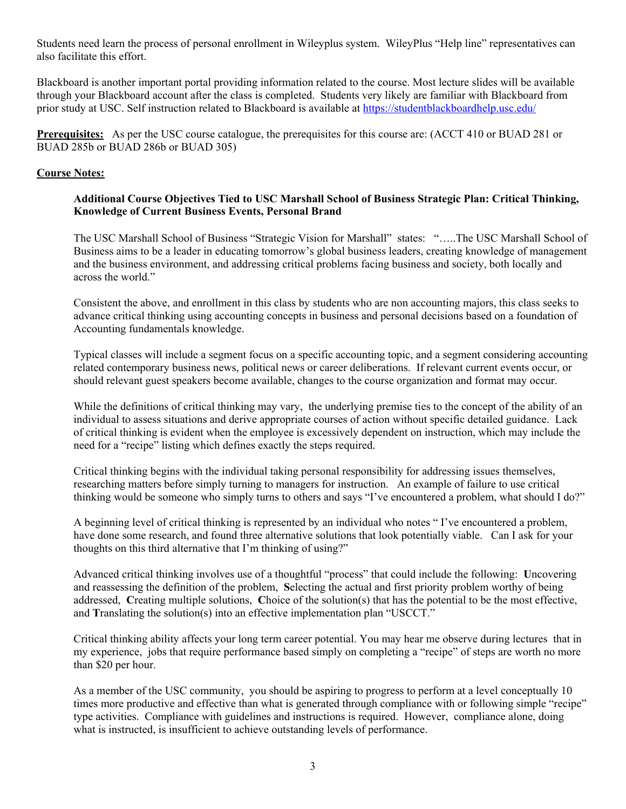Students need learn the process of personal enrollment in Wileyplus system. WileyPlus "Help line" representatives can also facilitate this effort.

Blackboard is another important portal providing information related to the course. Most lecture slides will be available through your Blackboard account after the class is completed. Students very likely are familiar with Blackboard from prior study at USC. Self instruction related to Blackboard is available at https://studentblackboardhelp.usc.edu/

**Prerequisites:** As per the USC course catalogue, the prerequisites for this course are: (ACCT 410 or BUAD 281 or BUAD 285b or BUAD 286b or BUAD 305)

#### **Course Notes:**

#### **Additional Course Objectives Tied to USC Marshall School of Business Strategic Plan: Critical Thinking, Knowledge of Current Business Events, Personal Brand**

The USC Marshall School of Business "Strategic Vision for Marshall" states: "…..The USC Marshall School of Business aims to be a leader in educating tomorrow's global business leaders, creating knowledge of management and the business environment, and addressing critical problems facing business and society, both locally and across the world."

Consistent the above, and enrollment in this class by students who are non accounting majors, this class seeks to advance critical thinking using accounting concepts in business and personal decisions based on a foundation of Accounting fundamentals knowledge.

Typical classes will include a segment focus on a specific accounting topic, and a segment considering accounting related contemporary business news, political news or career deliberations. If relevant current events occur, or should relevant guest speakers become available, changes to the course organization and format may occur.

While the definitions of critical thinking may vary, the underlying premise ties to the concept of the ability of an individual to assess situations and derive appropriate courses of action without specific detailed guidance. Lack of critical thinking is evident when the employee is excessively dependent on instruction, which may include the need for a "recipe" listing which defines exactly the steps required.

Critical thinking begins with the individual taking personal responsibility for addressing issues themselves, researching matters before simply turning to managers for instruction. An example of failure to use critical thinking would be someone who simply turns to others and says "I've encountered a problem, what should I do?"

A beginning level of critical thinking is represented by an individual who notes " I've encountered a problem, have done some research, and found three alternative solutions that look potentially viable. Can I ask for your thoughts on this third alternative that I'm thinking of using?"

Advanced critical thinking involves use of a thoughtful "process" that could include the following: **U**ncovering and reassessing the definition of the problem, **S**electing the actual and first priority problem worthy of being addressed, **C**reating multiple solutions, **C**hoice of the solution(s) that has the potential to be the most effective, and **T**ranslating the solution(s) into an effective implementation plan "USCCT."

Critical thinking ability affects your long term career potential. You may hear me observe during lectures that in my experience, jobs that require performance based simply on completing a "recipe" of steps are worth no more than \$20 per hour.

As a member of the USC community, you should be aspiring to progress to perform at a level conceptually 10 times more productive and effective than what is generated through compliance with or following simple "recipe" type activities. Compliance with guidelines and instructions is required. However, compliance alone, doing what is instructed, is insufficient to achieve outstanding levels of performance.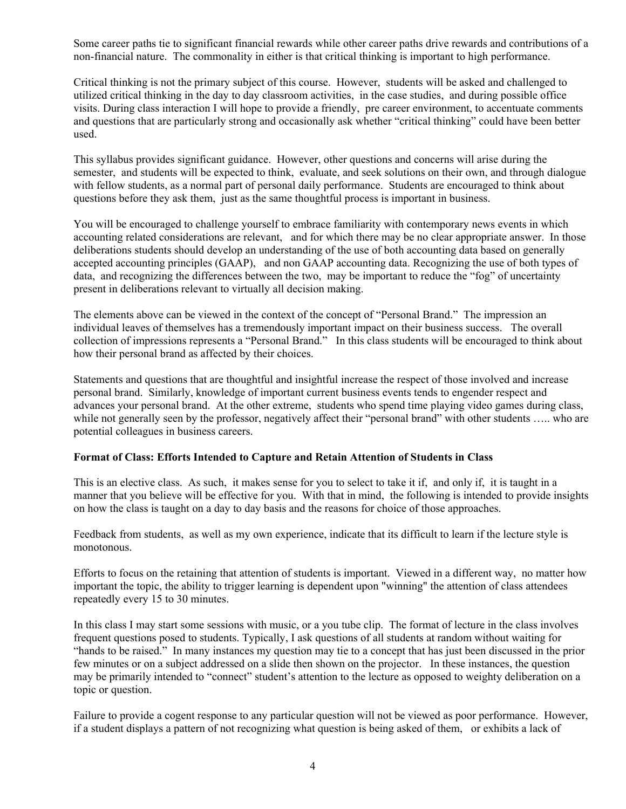Some career paths tie to significant financial rewards while other career paths drive rewards and contributions of a non-financial nature. The commonality in either is that critical thinking is important to high performance.

Critical thinking is not the primary subject of this course. However, students will be asked and challenged to utilized critical thinking in the day to day classroom activities, in the case studies, and during possible office visits. During class interaction I will hope to provide a friendly, pre career environment, to accentuate comments and questions that are particularly strong and occasionally ask whether "critical thinking" could have been better used.

This syllabus provides significant guidance. However, other questions and concerns will arise during the semester, and students will be expected to think, evaluate, and seek solutions on their own, and through dialogue with fellow students, as a normal part of personal daily performance. Students are encouraged to think about questions before they ask them, just as the same thoughtful process is important in business.

You will be encouraged to challenge yourself to embrace familiarity with contemporary news events in which accounting related considerations are relevant, and for which there may be no clear appropriate answer. In those deliberations students should develop an understanding of the use of both accounting data based on generally accepted accounting principles (GAAP), and non GAAP accounting data. Recognizing the use of both types of data, and recognizing the differences between the two, may be important to reduce the "fog" of uncertainty present in deliberations relevant to virtually all decision making.

The elements above can be viewed in the context of the concept of "Personal Brand." The impression an individual leaves of themselves has a tremendously important impact on their business success. The overall collection of impressions represents a "Personal Brand." In this class students will be encouraged to think about how their personal brand as affected by their choices.

Statements and questions that are thoughtful and insightful increase the respect of those involved and increase personal brand. Similarly, knowledge of important current business events tends to engender respect and advances your personal brand. At the other extreme, students who spend time playing video games during class, while not generally seen by the professor, negatively affect their "personal brand" with other students ..... who are potential colleagues in business careers.

#### **Format of Class: Efforts Intended to Capture and Retain Attention of Students in Class**

This is an elective class. As such, it makes sense for you to select to take it if, and only if, it is taught in a manner that you believe will be effective for you. With that in mind, the following is intended to provide insights on how the class is taught on a day to day basis and the reasons for choice of those approaches.

Feedback from students, as well as my own experience, indicate that its difficult to learn if the lecture style is monotonous.

Efforts to focus on the retaining that attention of students is important. Viewed in a different way, no matter how important the topic, the ability to trigger learning is dependent upon "winning" the attention of class attendees repeatedly every 15 to 30 minutes.

In this class I may start some sessions with music, or a you tube clip. The format of lecture in the class involves frequent questions posed to students. Typically, I ask questions of all students at random without waiting for "hands to be raised." In many instances my question may tie to a concept that has just been discussed in the prior few minutes or on a subject addressed on a slide then shown on the projector. In these instances, the question may be primarily intended to "connect" student's attention to the lecture as opposed to weighty deliberation on a topic or question.

Failure to provide a cogent response to any particular question will not be viewed as poor performance. However, if a student displays a pattern of not recognizing what question is being asked of them, or exhibits a lack of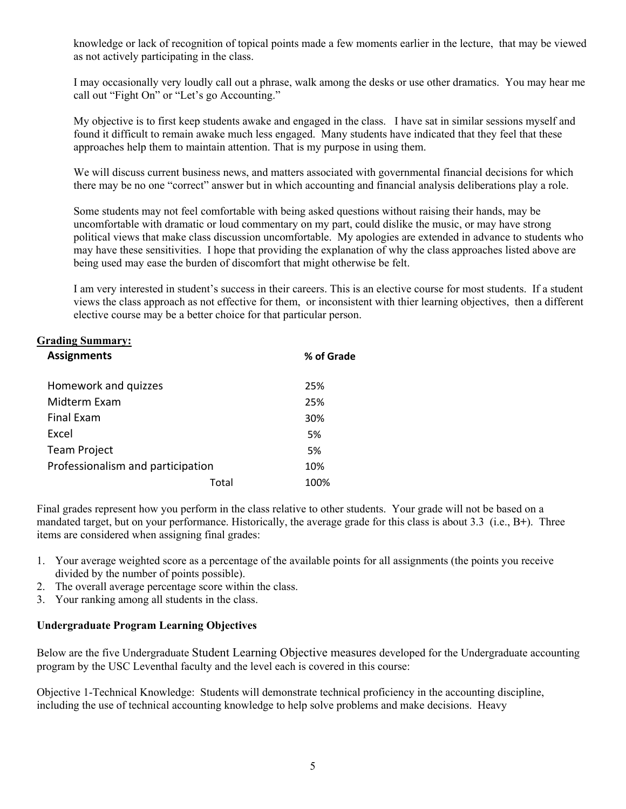knowledge or lack of recognition of topical points made a few moments earlier in the lecture, that may be viewed as not actively participating in the class.

I may occasionally very loudly call out a phrase, walk among the desks or use other dramatics. You may hear me call out "Fight On" or "Let's go Accounting."

My objective is to first keep students awake and engaged in the class. I have sat in similar sessions myself and found it difficult to remain awake much less engaged. Many students have indicated that they feel that these approaches help them to maintain attention. That is my purpose in using them.

We will discuss current business news, and matters associated with governmental financial decisions for which there may be no one "correct" answer but in which accounting and financial analysis deliberations play a role.

Some students may not feel comfortable with being asked questions without raising their hands, may be uncomfortable with dramatic or loud commentary on my part, could dislike the music, or may have strong political views that make class discussion uncomfortable. My apologies are extended in advance to students who may have these sensitivities. I hope that providing the explanation of why the class approaches listed above are being used may ease the burden of discomfort that might otherwise be felt.

I am very interested in student's success in their careers. This is an elective course for most students. If a student views the class approach as not effective for them, or inconsistent with thier learning objectives, then a different elective course may be a better choice for that particular person.

# **Grading Summary:**

| <b>Assignments</b>                |       | % of Grade |
|-----------------------------------|-------|------------|
| Homework and quizzes              |       | 25%        |
| Midterm Exam                      |       | 25%        |
| <b>Final Exam</b>                 |       | 30%        |
| Excel                             |       | 5%         |
| <b>Team Project</b>               |       | 5%         |
| Professionalism and participation |       | 10%        |
|                                   | Total | 100%       |

Final grades represent how you perform in the class relative to other students. Your grade will not be based on a mandated target, but on your performance. Historically, the average grade for this class is about 3.3 (i.e., B**+**). Three items are considered when assigning final grades:

- 1. Your average weighted score as a percentage of the available points for all assignments (the points you receive divided by the number of points possible).
- 2. The overall average percentage score within the class.
- 3. Your ranking among all students in the class.

#### **Undergraduate Program Learning Objectives**

Below are the five Undergraduate Student Learning Objective measures developed for the Undergraduate accounting program by the USC Leventhal faculty and the level each is covered in this course:

Objective 1-Technical Knowledge: Students will demonstrate technical proficiency in the accounting discipline, including the use of technical accounting knowledge to help solve problems and make decisions. Heavy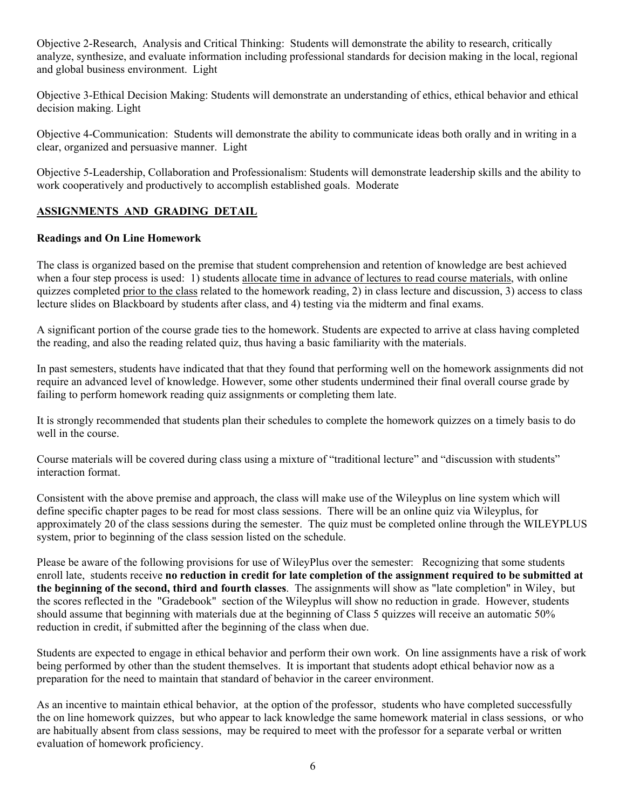Objective 2-Research, Analysis and Critical Thinking: Students will demonstrate the ability to research, critically analyze, synthesize, and evaluate information including professional standards for decision making in the local, regional and global business environment. Light

Objective 3-Ethical Decision Making: Students will demonstrate an understanding of ethics, ethical behavior and ethical decision making. Light

Objective 4-Communication: Students will demonstrate the ability to communicate ideas both orally and in writing in a clear, organized and persuasive manner. Light

Objective 5-Leadership, Collaboration and Professionalism: Students will demonstrate leadership skills and the ability to work cooperatively and productively to accomplish established goals. Moderate

## **ASSIGNMENTS AND GRADING DETAIL**

## **Readings and On Line Homework**

The class is organized based on the premise that student comprehension and retention of knowledge are best achieved when a four step process is used: 1) students allocate time in advance of lectures to read course materials, with online quizzes completed prior to the class related to the homework reading, 2) in class lecture and discussion, 3) access to class lecture slides on Blackboard by students after class, and 4) testing via the midterm and final exams.

A significant portion of the course grade ties to the homework. Students are expected to arrive at class having completed the reading, and also the reading related quiz, thus having a basic familiarity with the materials.

In past semesters, students have indicated that that they found that performing well on the homework assignments did not require an advanced level of knowledge. However, some other students undermined their final overall course grade by failing to perform homework reading quiz assignments or completing them late.

It is strongly recommended that students plan their schedules to complete the homework quizzes on a timely basis to do well in the course.

Course materials will be covered during class using a mixture of "traditional lecture" and "discussion with students" interaction format.

Consistent with the above premise and approach, the class will make use of the Wileyplus on line system which will define specific chapter pages to be read for most class sessions. There will be an online quiz via Wileyplus, for approximately 20 of the class sessions during the semester. The quiz must be completed online through the WILEYPLUS system, prior to beginning of the class session listed on the schedule.

Please be aware of the following provisions for use of WileyPlus over the semester: Recognizing that some students enroll late, students receive **no reduction in credit for late completion of the assignment required to be submitted at the beginning of the second, third and fourth classes**. The assignments will show as "late completion" in Wiley, but the scores reflected in the "Gradebook" section of the Wileyplus will show no reduction in grade. However, students should assume that beginning with materials due at the beginning of Class 5 quizzes will receive an automatic 50% reduction in credit, if submitted after the beginning of the class when due.

Students are expected to engage in ethical behavior and perform their own work. On line assignments have a risk of work being performed by other than the student themselves. It is important that students adopt ethical behavior now as a preparation for the need to maintain that standard of behavior in the career environment.

As an incentive to maintain ethical behavior, at the option of the professor, students who have completed successfully the on line homework quizzes, but who appear to lack knowledge the same homework material in class sessions, or who are habitually absent from class sessions, may be required to meet with the professor for a separate verbal or written evaluation of homework proficiency.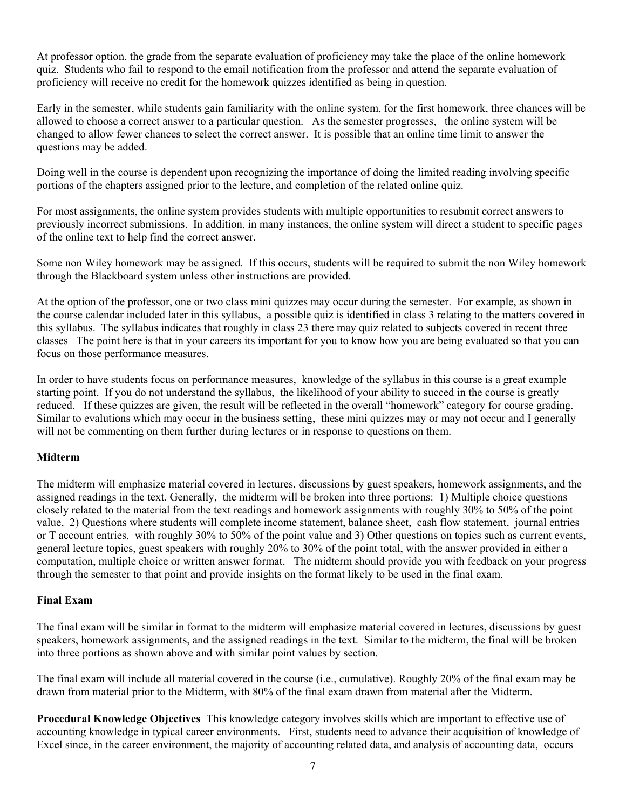At professor option, the grade from the separate evaluation of proficiency may take the place of the online homework quiz. Students who fail to respond to the email notification from the professor and attend the separate evaluation of proficiency will receive no credit for the homework quizzes identified as being in question.

Early in the semester, while students gain familiarity with the online system, for the first homework, three chances will be allowed to choose a correct answer to a particular question. As the semester progresses, the online system will be changed to allow fewer chances to select the correct answer. It is possible that an online time limit to answer the questions may be added.

Doing well in the course is dependent upon recognizing the importance of doing the limited reading involving specific portions of the chapters assigned prior to the lecture, and completion of the related online quiz.

For most assignments, the online system provides students with multiple opportunities to resubmit correct answers to previously incorrect submissions. In addition, in many instances, the online system will direct a student to specific pages of the online text to help find the correct answer.

Some non Wiley homework may be assigned. If this occurs, students will be required to submit the non Wiley homework through the Blackboard system unless other instructions are provided.

At the option of the professor, one or two class mini quizzes may occur during the semester. For example, as shown in the course calendar included later in this syllabus, a possible quiz is identified in class 3 relating to the matters covered in this syllabus. The syllabus indicates that roughly in class 23 there may quiz related to subjects covered in recent three classes The point here is that in your careers its important for you to know how you are being evaluated so that you can focus on those performance measures.

In order to have students focus on performance measures, knowledge of the syllabus in this course is a great example starting point. If you do not understand the syllabus, the likelihood of your ability to succed in the course is greatly reduced. If these quizzes are given, the result will be reflected in the overall "homework" category for course grading. Similar to evalutions which may occur in the business setting, these mini quizzes may or may not occur and I generally will not be commenting on them further during lectures or in response to questions on them.

#### **Midterm**

The midterm will emphasize material covered in lectures, discussions by guest speakers, homework assignments, and the assigned readings in the text. Generally, the midterm will be broken into three portions: 1) Multiple choice questions closely related to the material from the text readings and homework assignments with roughly 30% to 50% of the point value, 2) Questions where students will complete income statement, balance sheet, cash flow statement, journal entries or T account entries, with roughly 30% to 50% of the point value and 3) Other questions on topics such as current events, general lecture topics, guest speakers with roughly 20% to 30% of the point total, with the answer provided in either a computation, multiple choice or written answer format. The midterm should provide you with feedback on your progress through the semester to that point and provide insights on the format likely to be used in the final exam.

#### **Final Exam**

The final exam will be similar in format to the midterm will emphasize material covered in lectures, discussions by guest speakers, homework assignments, and the assigned readings in the text. Similar to the midterm, the final will be broken into three portions as shown above and with similar point values by section.

The final exam will include all material covered in the course (i.e., cumulative). Roughly 20% of the final exam may be drawn from material prior to the Midterm, with 80% of the final exam drawn from material after the Midterm.

**Procedural Knowledge Objectives** This knowledge category involves skills which are important to effective use of accounting knowledge in typical career environments. First, students need to advance their acquisition of knowledge of Excel since, in the career environment, the majority of accounting related data, and analysis of accounting data, occurs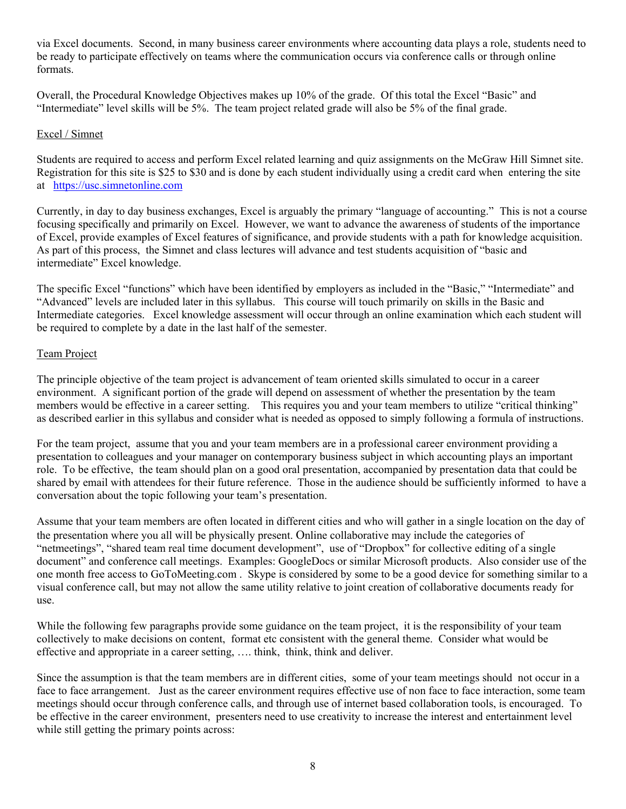via Excel documents. Second, in many business career environments where accounting data plays a role, students need to be ready to participate effectively on teams where the communication occurs via conference calls or through online formats.

Overall, the Procedural Knowledge Objectives makes up 10% of the grade. Of this total the Excel "Basic" and "Intermediate" level skills will be 5%. The team project related grade will also be 5% of the final grade.

#### Excel / Simnet

Students are required to access and perform Excel related learning and quiz assignments on the McGraw Hill Simnet site. Registration for this site is \$25 to \$30 and is done by each student individually using a credit card when entering the site at https://usc.simnetonline.com

Currently, in day to day business exchanges, Excel is arguably the primary "language of accounting." This is not a course focusing specifically and primarily on Excel. However, we want to advance the awareness of students of the importance of Excel, provide examples of Excel features of significance, and provide students with a path for knowledge acquisition. As part of this process, the Simnet and class lectures will advance and test students acquisition of "basic and intermediate" Excel knowledge.

The specific Excel "functions" which have been identified by employers as included in the "Basic," "Intermediate" and "Advanced" levels are included later in this syllabus. This course will touch primarily on skills in the Basic and Intermediate categories. Excel knowledge assessment will occur through an online examination which each student will be required to complete by a date in the last half of the semester.

#### Team Project

The principle objective of the team project is advancement of team oriented skills simulated to occur in a career environment. A significant portion of the grade will depend on assessment of whether the presentation by the team members would be effective in a career setting. This requires you and your team members to utilize "critical thinking" as described earlier in this syllabus and consider what is needed as opposed to simply following a formula of instructions.

For the team project, assume that you and your team members are in a professional career environment providing a presentation to colleagues and your manager on contemporary business subject in which accounting plays an important role. To be effective, the team should plan on a good oral presentation, accompanied by presentation data that could be shared by email with attendees for their future reference. Those in the audience should be sufficiently informed to have a conversation about the topic following your team's presentation.

Assume that your team members are often located in different cities and who will gather in a single location on the day of the presentation where you all will be physically present. Online collaborative may include the categories of "netmeetings", "shared team real time document development", use of "Dropbox" for collective editing of a single document" and conference call meetings. Examples: GoogleDocs or similar Microsoft products. Also consider use of the one month free access to GoToMeeting.com . Skype is considered by some to be a good device for something similar to a visual conference call, but may not allow the same utility relative to joint creation of collaborative documents ready for use.

While the following few paragraphs provide some guidance on the team project, it is the responsibility of your team collectively to make decisions on content, format etc consistent with the general theme. Consider what would be effective and appropriate in a career setting, …. think, think, think and deliver.

Since the assumption is that the team members are in different cities, some of your team meetings should not occur in a face to face arrangement. Just as the career environment requires effective use of non face to face interaction, some team meetings should occur through conference calls, and through use of internet based collaboration tools, is encouraged. To be effective in the career environment, presenters need to use creativity to increase the interest and entertainment level while still getting the primary points across: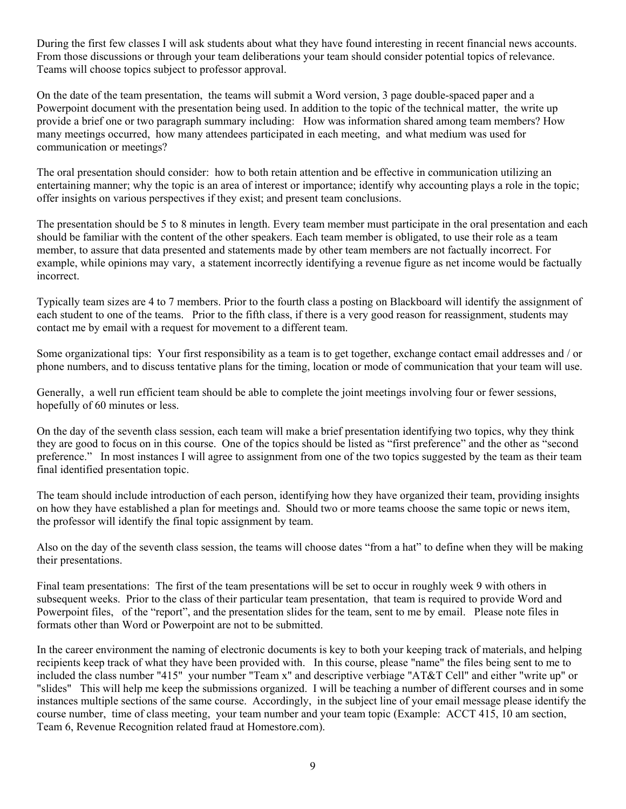During the first few classes I will ask students about what they have found interesting in recent financial news accounts. From those discussions or through your team deliberations your team should consider potential topics of relevance. Teams will choose topics subject to professor approval.

On the date of the team presentation, the teams will submit a Word version, 3 page double-spaced paper and a Powerpoint document with the presentation being used. In addition to the topic of the technical matter, the write up provide a brief one or two paragraph summary including: How was information shared among team members? How many meetings occurred, how many attendees participated in each meeting, and what medium was used for communication or meetings?

The oral presentation should consider: how to both retain attention and be effective in communication utilizing an entertaining manner; why the topic is an area of interest or importance; identify why accounting plays a role in the topic; offer insights on various perspectives if they exist; and present team conclusions.

The presentation should be 5 to 8 minutes in length. Every team member must participate in the oral presentation and each should be familiar with the content of the other speakers. Each team member is obligated, to use their role as a team member, to assure that data presented and statements made by other team members are not factually incorrect. For example, while opinions may vary, a statement incorrectly identifying a revenue figure as net income would be factually incorrect.

Typically team sizes are 4 to 7 members. Prior to the fourth class a posting on Blackboard will identify the assignment of each student to one of the teams. Prior to the fifth class, if there is a very good reason for reassignment, students may contact me by email with a request for movement to a different team.

Some organizational tips: Your first responsibility as a team is to get together, exchange contact email addresses and / or phone numbers, and to discuss tentative plans for the timing, location or mode of communication that your team will use.

Generally, a well run efficient team should be able to complete the joint meetings involving four or fewer sessions, hopefully of 60 minutes or less.

On the day of the seventh class session, each team will make a brief presentation identifying two topics, why they think they are good to focus on in this course. One of the topics should be listed as "first preference" and the other as "second preference." In most instances I will agree to assignment from one of the two topics suggested by the team as their team final identified presentation topic.

The team should include introduction of each person, identifying how they have organized their team, providing insights on how they have established a plan for meetings and. Should two or more teams choose the same topic or news item, the professor will identify the final topic assignment by team.

Also on the day of the seventh class session, the teams will choose dates "from a hat" to define when they will be making their presentations.

Final team presentations: The first of the team presentations will be set to occur in roughly week 9 with others in subsequent weeks. Prior to the class of their particular team presentation, that team is required to provide Word and Powerpoint files, of the "report", and the presentation slides for the team, sent to me by email. Please note files in formats other than Word or Powerpoint are not to be submitted.

In the career environment the naming of electronic documents is key to both your keeping track of materials, and helping recipients keep track of what they have been provided with. In this course, please "name" the files being sent to me to included the class number "415" your number "Team x" and descriptive verbiage "AT&T Cell" and either "write up" or "slides" This will help me keep the submissions organized. I will be teaching a number of different courses and in some instances multiple sections of the same course. Accordingly, in the subject line of your email message please identify the course number, time of class meeting, your team number and your team topic (Example: ACCT 415, 10 am section, Team 6, Revenue Recognition related fraud at Homestore.com).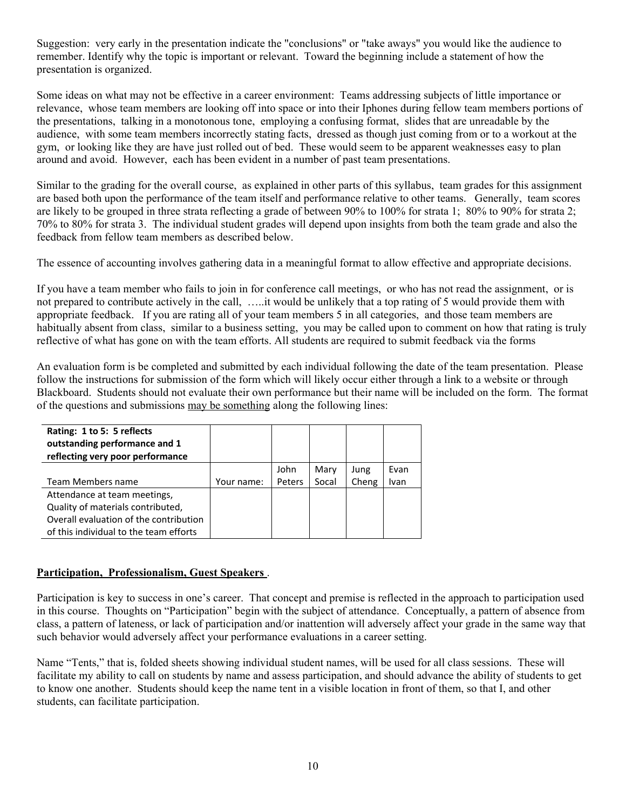Suggestion: very early in the presentation indicate the "conclusions" or "take aways" you would like the audience to remember. Identify why the topic is important or relevant. Toward the beginning include a statement of how the presentation is organized.

Some ideas on what may not be effective in a career environment: Teams addressing subjects of little importance or relevance, whose team members are looking off into space or into their Iphones during fellow team members portions of the presentations, talking in a monotonous tone, employing a confusing format, slides that are unreadable by the audience, with some team members incorrectly stating facts, dressed as though just coming from or to a workout at the gym, or looking like they are have just rolled out of bed. These would seem to be apparent weaknesses easy to plan around and avoid. However, each has been evident in a number of past team presentations.

Similar to the grading for the overall course, as explained in other parts of this syllabus, team grades for this assignment are based both upon the performance of the team itself and performance relative to other teams. Generally, team scores are likely to be grouped in three strata reflecting a grade of between 90% to 100% for strata 1; 80% to 90% for strata 2; 70% to 80% for strata 3. The individual student grades will depend upon insights from both the team grade and also the feedback from fellow team members as described below.

The essence of accounting involves gathering data in a meaningful format to allow effective and appropriate decisions.

If you have a team member who fails to join in for conference call meetings, or who has not read the assignment, or is not prepared to contribute actively in the call, …..it would be unlikely that a top rating of 5 would provide them with appropriate feedback. If you are rating all of your team members 5 in all categories, and those team members are habitually absent from class, similar to a business setting, you may be called upon to comment on how that rating is truly reflective of what has gone on with the team efforts. All students are required to submit feedback via the forms

An evaluation form is be completed and submitted by each individual following the date of the team presentation. Please follow the instructions for submission of the form which will likely occur either through a link to a website or through Blackboard. Students should not evaluate their own performance but their name will be included on the form. The format of the questions and submissions may be something along the following lines:

| Rating: 1 to 5: 5 reflects<br>outstanding performance and 1<br>reflecting very poor performance |            |        |       |       |      |
|-------------------------------------------------------------------------------------------------|------------|--------|-------|-------|------|
|                                                                                                 |            | John   | Mary  | Jung  | Evan |
| Team Members name                                                                               | Your name: | Peters | Socal | Cheng | Ivan |
| Attendance at team meetings,                                                                    |            |        |       |       |      |
| Quality of materials contributed,                                                               |            |        |       |       |      |
| Overall evaluation of the contribution                                                          |            |        |       |       |      |
| of this individual to the team efforts                                                          |            |        |       |       |      |

## **Participation, Professionalism, Guest Speakers** .

Participation is key to success in one's career. That concept and premise is reflected in the approach to participation used in this course. Thoughts on "Participation" begin with the subject of attendance. Conceptually, a pattern of absence from class, a pattern of lateness, or lack of participation and/or inattention will adversely affect your grade in the same way that such behavior would adversely affect your performance evaluations in a career setting.

Name "Tents," that is, folded sheets showing individual student names, will be used for all class sessions. These will facilitate my ability to call on students by name and assess participation, and should advance the ability of students to get to know one another. Students should keep the name tent in a visible location in front of them, so that I, and other students, can facilitate participation.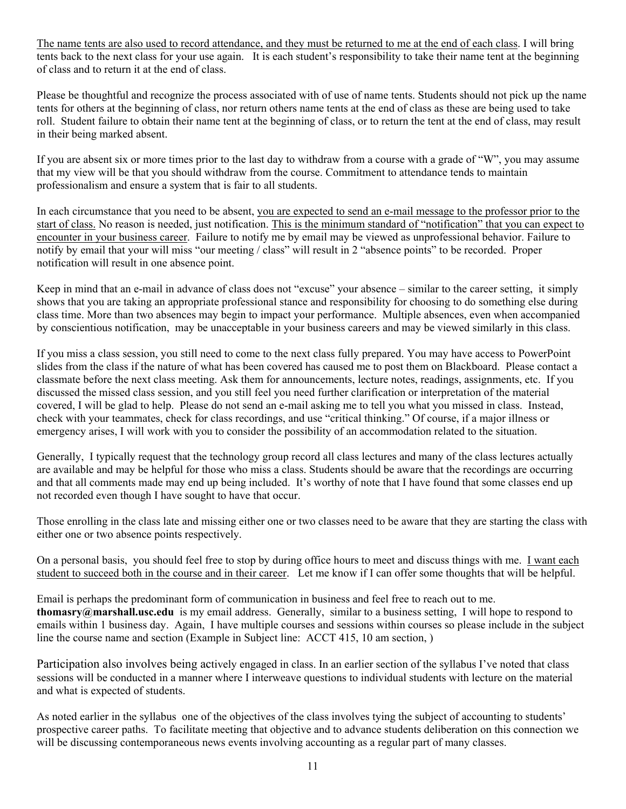The name tents are also used to record attendance, and they must be returned to me at the end of each class. I will bring tents back to the next class for your use again. It is each student's responsibility to take their name tent at the beginning of class and to return it at the end of class.

Please be thoughtful and recognize the process associated with of use of name tents. Students should not pick up the name tents for others at the beginning of class, nor return others name tents at the end of class as these are being used to take roll. Student failure to obtain their name tent at the beginning of class, or to return the tent at the end of class, may result in their being marked absent.

If you are absent six or more times prior to the last day to withdraw from a course with a grade of "W", you may assume that my view will be that you should withdraw from the course. Commitment to attendance tends to maintain professionalism and ensure a system that is fair to all students.

In each circumstance that you need to be absent, you are expected to send an e-mail message to the professor prior to the start of class. No reason is needed, just notification. This is the minimum standard of "notification" that you can expect to encounter in your business career. Failure to notify me by email may be viewed as unprofessional behavior. Failure to notify by email that your will miss "our meeting / class" will result in 2 "absence points" to be recorded. Proper notification will result in one absence point.

Keep in mind that an e-mail in advance of class does not "excuse" your absence – similar to the career setting, it simply shows that you are taking an appropriate professional stance and responsibility for choosing to do something else during class time. More than two absences may begin to impact your performance. Multiple absences, even when accompanied by conscientious notification, may be unacceptable in your business careers and may be viewed similarly in this class.

If you miss a class session, you still need to come to the next class fully prepared. You may have access to PowerPoint slides from the class if the nature of what has been covered has caused me to post them on Blackboard. Please contact a classmate before the next class meeting. Ask them for announcements, lecture notes, readings, assignments, etc. If you discussed the missed class session, and you still feel you need further clarification or interpretation of the material covered, I will be glad to help. Please do not send an e-mail asking me to tell you what you missed in class. Instead, check with your teammates, check for class recordings, and use "critical thinking." Of course, if a major illness or emergency arises, I will work with you to consider the possibility of an accommodation related to the situation.

Generally, I typically request that the technology group record all class lectures and many of the class lectures actually are available and may be helpful for those who miss a class. Students should be aware that the recordings are occurring and that all comments made may end up being included. It's worthy of note that I have found that some classes end up not recorded even though I have sought to have that occur.

Those enrolling in the class late and missing either one or two classes need to be aware that they are starting the class with either one or two absence points respectively.

On a personal basis, you should feel free to stop by during office hours to meet and discuss things with me. I want each student to succeed both in the course and in their career. Let me know if I can offer some thoughts that will be helpful.

Email is perhaps the predominant form of communication in business and feel free to reach out to me. **thomasry@marshall.usc.edu** is my email address. Generally, similar to a business setting, I will hope to respond to emails within 1 business day. Again, I have multiple courses and sessions within courses so please include in the subject line the course name and section (Example in Subject line: ACCT 415, 10 am section, )

Participation also involves being actively engaged in class. In an earlier section of the syllabus I've noted that class sessions will be conducted in a manner where I interweave questions to individual students with lecture on the material and what is expected of students.

As noted earlier in the syllabus one of the objectives of the class involves tying the subject of accounting to students' prospective career paths. To facilitate meeting that objective and to advance students deliberation on this connection we will be discussing contemporaneous news events involving accounting as a regular part of many classes.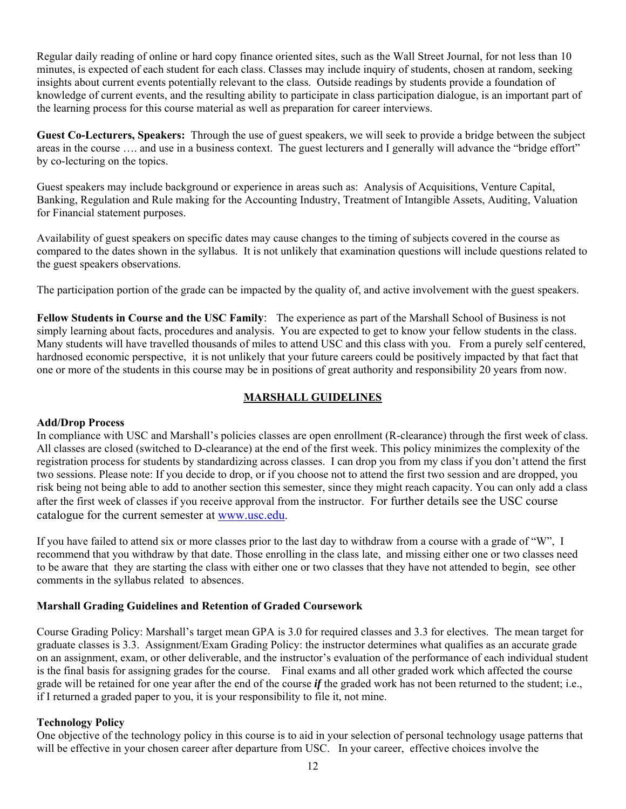Regular daily reading of online or hard copy finance oriented sites, such as the Wall Street Journal, for not less than 10 minutes, is expected of each student for each class. Classes may include inquiry of students, chosen at random, seeking insights about current events potentially relevant to the class. Outside readings by students provide a foundation of knowledge of current events, and the resulting ability to participate in class participation dialogue, is an important part of the learning process for this course material as well as preparation for career interviews.

**Guest Co-Lecturers, Speakers:** Through the use of guest speakers, we will seek to provide a bridge between the subject areas in the course …. and use in a business context. The guest lecturers and I generally will advance the "bridge effort" by co-lecturing on the topics.

Guest speakers may include background or experience in areas such as: Analysis of Acquisitions, Venture Capital, Banking, Regulation and Rule making for the Accounting Industry, Treatment of Intangible Assets, Auditing, Valuation for Financial statement purposes.

Availability of guest speakers on specific dates may cause changes to the timing of subjects covered in the course as compared to the dates shown in the syllabus. It is not unlikely that examination questions will include questions related to the guest speakers observations.

The participation portion of the grade can be impacted by the quality of, and active involvement with the guest speakers.

**Fellow Students in Course and the USC Family**: The experience as part of the Marshall School of Business is not simply learning about facts, procedures and analysis. You are expected to get to know your fellow students in the class. Many students will have travelled thousands of miles to attend USC and this class with you. From a purely self centered, hardnosed economic perspective, it is not unlikely that your future careers could be positively impacted by that fact that one or more of the students in this course may be in positions of great authority and responsibility 20 years from now.

#### **MARSHALL GUIDELINES**

#### **Add/Drop Process**

In compliance with USC and Marshall's policies classes are open enrollment (R-clearance) through the first week of class. All classes are closed (switched to D-clearance) at the end of the first week. This policy minimizes the complexity of the registration process for students by standardizing across classes. I can drop you from my class if you don't attend the first two sessions. Please note: If you decide to drop, or if you choose not to attend the first two session and are dropped, you risk being not being able to add to another section this semester, since they might reach capacity. You can only add a class after the first week of classes if you receive approval from the instructor. For further details see the USC course catalogue for the current semester at www.usc.edu.

If you have failed to attend six or more classes prior to the last day to withdraw from a course with a grade of "W", I recommend that you withdraw by that date. Those enrolling in the class late, and missing either one or two classes need to be aware that they are starting the class with either one or two classes that they have not attended to begin, see other comments in the syllabus related to absences.

#### **Marshall Grading Guidelines and Retention of Graded Coursework**

Course Grading Policy: Marshall's target mean GPA is 3.0 for required classes and 3.3 for electives. The mean target for graduate classes is 3.3. Assignment/Exam Grading Policy: the instructor determines what qualifies as an accurate grade on an assignment, exam, or other deliverable, and the instructor's evaluation of the performance of each individual student is the final basis for assigning grades for the course. Final exams and all other graded work which affected the course grade will be retained for one year after the end of the course *if* the graded work has not been returned to the student; i.e., if I returned a graded paper to you, it is your responsibility to file it, not mine.

#### **Technology Policy**

One objective of the technology policy in this course is to aid in your selection of personal technology usage patterns that will be effective in your chosen career after departure from USC. In your career, effective choices involve the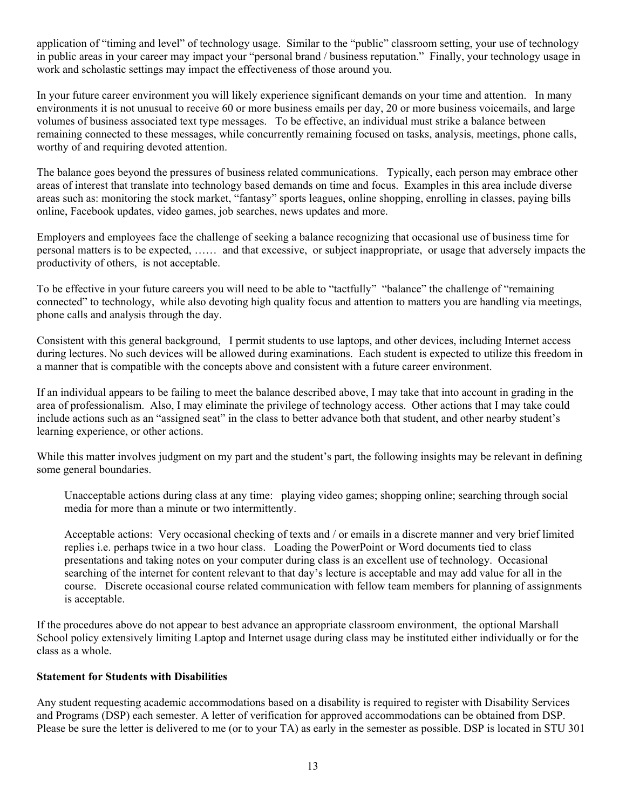application of "timing and level" of technology usage. Similar to the "public" classroom setting, your use of technology in public areas in your career may impact your "personal brand / business reputation." Finally, your technology usage in work and scholastic settings may impact the effectiveness of those around you.

In your future career environment you will likely experience significant demands on your time and attention. In many environments it is not unusual to receive 60 or more business emails per day, 20 or more business voicemails, and large volumes of business associated text type messages. To be effective, an individual must strike a balance between remaining connected to these messages, while concurrently remaining focused on tasks, analysis, meetings, phone calls, worthy of and requiring devoted attention.

The balance goes beyond the pressures of business related communications. Typically, each person may embrace other areas of interest that translate into technology based demands on time and focus. Examples in this area include diverse areas such as: monitoring the stock market, "fantasy" sports leagues, online shopping, enrolling in classes, paying bills online, Facebook updates, video games, job searches, news updates and more.

Employers and employees face the challenge of seeking a balance recognizing that occasional use of business time for personal matters is to be expected, …… and that excessive, or subject inappropriate, or usage that adversely impacts the productivity of others, is not acceptable.

To be effective in your future careers you will need to be able to "tactfully" "balance" the challenge of "remaining connected" to technology, while also devoting high quality focus and attention to matters you are handling via meetings, phone calls and analysis through the day.

Consistent with this general background, I permit students to use laptops, and other devices, including Internet access during lectures. No such devices will be allowed during examinations. Each student is expected to utilize this freedom in a manner that is compatible with the concepts above and consistent with a future career environment.

If an individual appears to be failing to meet the balance described above, I may take that into account in grading in the area of professionalism. Also, I may eliminate the privilege of technology access. Other actions that I may take could include actions such as an "assigned seat" in the class to better advance both that student, and other nearby student's learning experience, or other actions.

While this matter involves judgment on my part and the student's part, the following insights may be relevant in defining some general boundaries.

Unacceptable actions during class at any time: playing video games; shopping online; searching through social media for more than a minute or two intermittently.

Acceptable actions: Very occasional checking of texts and / or emails in a discrete manner and very brief limited replies i.e. perhaps twice in a two hour class. Loading the PowerPoint or Word documents tied to class presentations and taking notes on your computer during class is an excellent use of technology. Occasional searching of the internet for content relevant to that day's lecture is acceptable and may add value for all in the course. Discrete occasional course related communication with fellow team members for planning of assignments is acceptable.

If the procedures above do not appear to best advance an appropriate classroom environment, the optional Marshall School policy extensively limiting Laptop and Internet usage during class may be instituted either individually or for the class as a whole.

#### **Statement for Students with Disabilities**

Any student requesting academic accommodations based on a disability is required to register with Disability Services and Programs (DSP) each semester. A letter of verification for approved accommodations can be obtained from DSP. Please be sure the letter is delivered to me (or to your TA) as early in the semester as possible. DSP is located in STU 301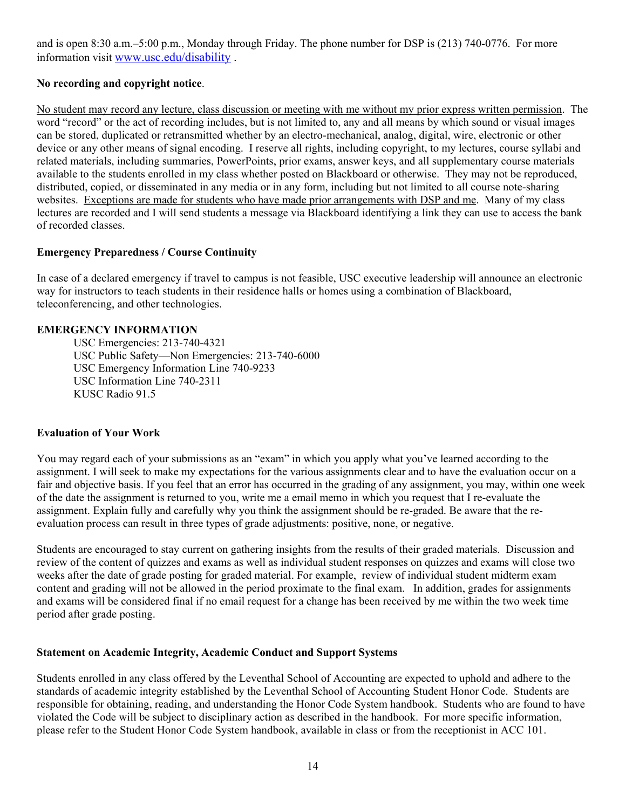and is open 8:30 a.m.–5:00 p.m., Monday through Friday. The phone number for DSP is (213) 740-0776. For more information visit www.usc.edu/disability .

## **No recording and copyright notice**.

No student may record any lecture, class discussion or meeting with me without my prior express written permission. The word "record" or the act of recording includes, but is not limited to, any and all means by which sound or visual images can be stored, duplicated or retransmitted whether by an electro-mechanical, analog, digital, wire, electronic or other device or any other means of signal encoding. I reserve all rights, including copyright, to my lectures, course syllabi and related materials, including summaries, PowerPoints, prior exams, answer keys, and all supplementary course materials available to the students enrolled in my class whether posted on Blackboard or otherwise. They may not be reproduced, distributed, copied, or disseminated in any media or in any form, including but not limited to all course note-sharing websites. Exceptions are made for students who have made prior arrangements with DSP and me. Many of my class lectures are recorded and I will send students a message via Blackboard identifying a link they can use to access the bank of recorded classes.

#### **Emergency Preparedness / Course Continuity**

In case of a declared emergency if travel to campus is not feasible, USC executive leadership will announce an electronic way for instructors to teach students in their residence halls or homes using a combination of Blackboard, teleconferencing, and other technologies.

#### **EMERGENCY INFORMATION**

 USC Emergencies: 213-740-4321 USC Public Safety—Non Emergencies: 213-740-6000 USC Emergency Information Line 740-9233 USC Information Line 740-2311 KUSC Radio 91.5

#### **Evaluation of Your Work**

You may regard each of your submissions as an "exam" in which you apply what you've learned according to the assignment. I will seek to make my expectations for the various assignments clear and to have the evaluation occur on a fair and objective basis. If you feel that an error has occurred in the grading of any assignment, you may, within one week of the date the assignment is returned to you, write me a email memo in which you request that I re-evaluate the assignment. Explain fully and carefully why you think the assignment should be re-graded. Be aware that the reevaluation process can result in three types of grade adjustments: positive, none, or negative.

Students are encouraged to stay current on gathering insights from the results of their graded materials. Discussion and review of the content of quizzes and exams as well as individual student responses on quizzes and exams will close two weeks after the date of grade posting for graded material. For example, review of individual student midterm exam content and grading will not be allowed in the period proximate to the final exam. In addition, grades for assignments and exams will be considered final if no email request for a change has been received by me within the two week time period after grade posting.

#### **Statement on Academic Integrity, Academic Conduct and Support Systems**

Students enrolled in any class offered by the Leventhal School of Accounting are expected to uphold and adhere to the standards of academic integrity established by the Leventhal School of Accounting Student Honor Code. Students are responsible for obtaining, reading, and understanding the Honor Code System handbook. Students who are found to have violated the Code will be subject to disciplinary action as described in the handbook. For more specific information, please refer to the Student Honor Code System handbook, available in class or from the receptionist in ACC 101.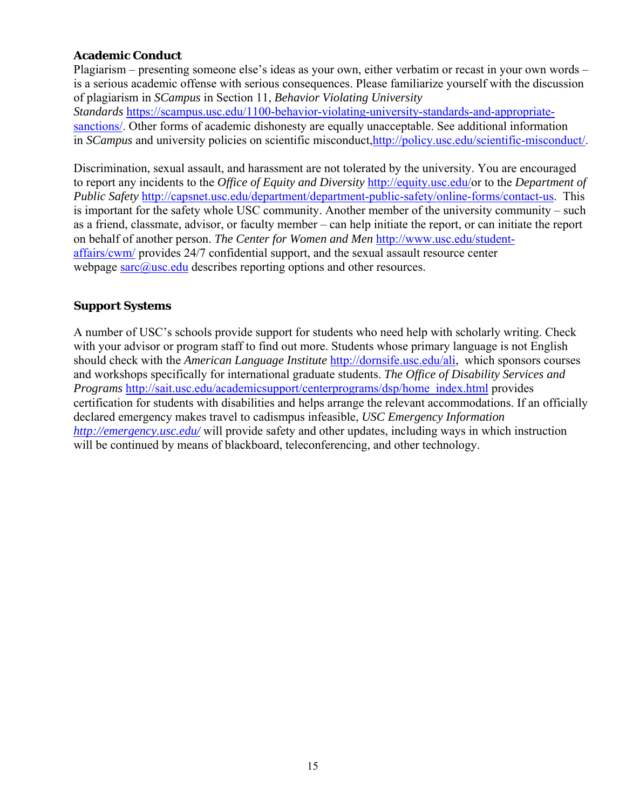## **Academic Conduct**

Plagiarism – presenting someone else's ideas as your own, either verbatim or recast in your own words – is a serious academic offense with serious consequences. Please familiarize yourself with the discussion of plagiarism in *SCampus* in Section 11, *Behavior Violating University Standards* https://scampus.usc.edu/1100-behavior-violating-university-standards-and-appropriatesanctions/. Other forms of academic dishonesty are equally unacceptable. See additional information in *SCampus* and university policies on scientific misconduct,http://policy.usc.edu/scientific-misconduct/.

Discrimination, sexual assault, and harassment are not tolerated by the university. You are encouraged to report any incidents to the *Office of Equity and Diversity* http://equity.usc.edu/or to the *Department of Public Safety* http://capsnet.usc.edu/department/department-public-safety/online-forms/contact-us. This is important for the safety whole USC community. Another member of the university community – such as a friend, classmate, advisor, or faculty member – can help initiate the report, or can initiate the report on behalf of another person. *The Center for Women and Men* http://www.usc.edu/studentaffairs/cwm/ provides 24/7 confidential support, and the sexual assault resource center webpage  $\frac{\text{sarc}}{\text{a} \cdot \text{usc}}$  describes reporting options and other resources.

## **Support Systems**

A number of USC's schools provide support for students who need help with scholarly writing. Check with your advisor or program staff to find out more. Students whose primary language is not English should check with the *American Language Institute* http://dornsife.usc.edu/ali, which sponsors courses and workshops specifically for international graduate students. *The Office of Disability Services and Programs* http://sait.usc.edu/academicsupport/centerprograms/dsp/home\_index.html provides certification for students with disabilities and helps arrange the relevant accommodations. If an officially declared emergency makes travel to cadismpus infeasible, *USC Emergency Information http://emergency.usc.edu/* will provide safety and other updates, including ways in which instruction will be continued by means of blackboard, teleconferencing, and other technology.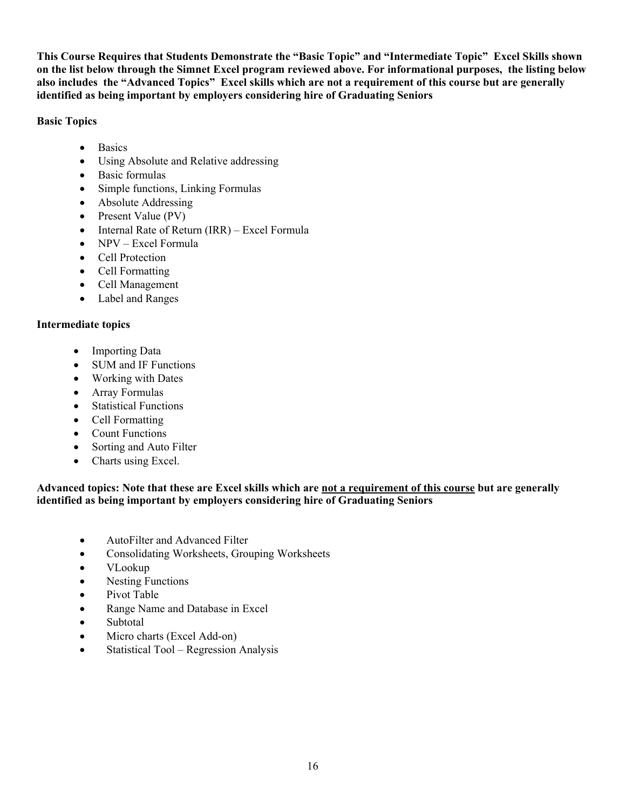**This Course Requires that Students Demonstrate the "Basic Topic" and "Intermediate Topic" Excel Skills shown on the list below through the Simnet Excel program reviewed above. For informational purposes, the listing below also includes the "Advanced Topics" Excel skills which are not a requirement of this course but are generally identified as being important by employers considering hire of Graduating Seniors** 

**Basic Topics** 

- Basics
- Using Absolute and Relative addressing
- Basic formulas
- Simple functions, Linking Formulas
- Absolute Addressing
- Present Value (PV)
- Internal Rate of Return (IRR) Excel Formula
- NPV Excel Formula
- Cell Protection
- Cell Formatting
- Cell Management
- Label and Ranges

## **Intermediate topics**

- Importing Data
- SUM and IF Functions
- Working with Dates
- Array Formulas
- Statistical Functions
- Cell Formatting
- Count Functions
- Sorting and Auto Filter
- Charts using Excel.

## **Advanced topics: Note that these are Excel skills which are not a requirement of this course but are generally identified as being important by employers considering hire of Graduating Seniors**

- AutoFilter and Advanced Filter
- Consolidating Worksheets, Grouping Worksheets
- VLookup
- Nesting Functions
- Pivot Table
- Range Name and Database in Excel
- Subtotal
- Micro charts (Excel Add-on)
- Statistical Tool Regression Analysis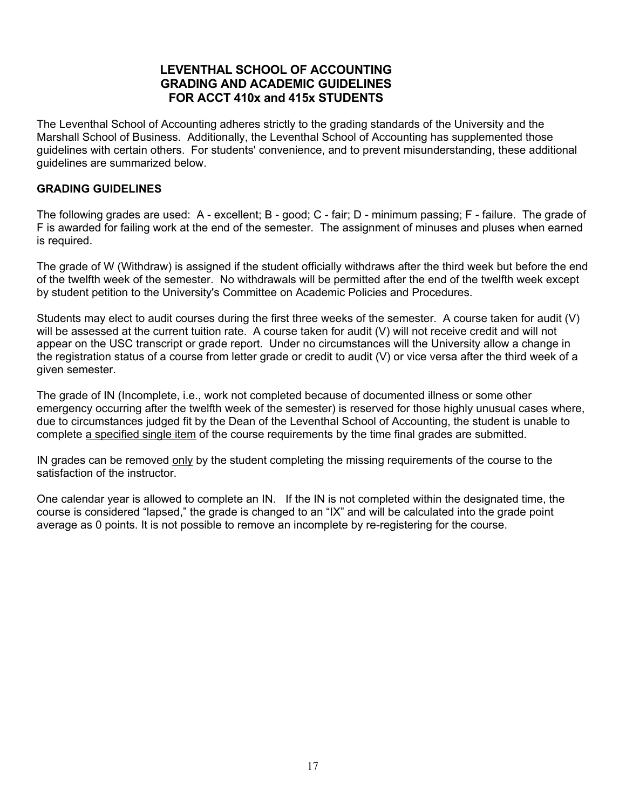## **LEVENTHAL SCHOOL OF ACCOUNTING GRADING AND ACADEMIC GUIDELINES FOR ACCT 410x and 415x STUDENTS**

The Leventhal School of Accounting adheres strictly to the grading standards of the University and the Marshall School of Business. Additionally, the Leventhal School of Accounting has supplemented those guidelines with certain others. For students' convenience, and to prevent misunderstanding, these additional guidelines are summarized below.

#### **GRADING GUIDELINES**

The following grades are used: A - excellent; B - good; C - fair; D - minimum passing; F - failure. The grade of F is awarded for failing work at the end of the semester. The assignment of minuses and pluses when earned is required.

The grade of W (Withdraw) is assigned if the student officially withdraws after the third week but before the end of the twelfth week of the semester. No withdrawals will be permitted after the end of the twelfth week except by student petition to the University's Committee on Academic Policies and Procedures.

Students may elect to audit courses during the first three weeks of the semester. A course taken for audit (V) will be assessed at the current tuition rate. A course taken for audit (V) will not receive credit and will not appear on the USC transcript or grade report. Under no circumstances will the University allow a change in the registration status of a course from letter grade or credit to audit (V) or vice versa after the third week of a given semester.

The grade of IN (Incomplete, i.e., work not completed because of documented illness or some other emergency occurring after the twelfth week of the semester) is reserved for those highly unusual cases where, due to circumstances judged fit by the Dean of the Leventhal School of Accounting, the student is unable to complete a specified single item of the course requirements by the time final grades are submitted.

IN grades can be removed only by the student completing the missing requirements of the course to the satisfaction of the instructor.

One calendar year is allowed to complete an IN. If the IN is not completed within the designated time, the course is considered "lapsed," the grade is changed to an "IX" and will be calculated into the grade point average as 0 points. It is not possible to remove an incomplete by re-registering for the course.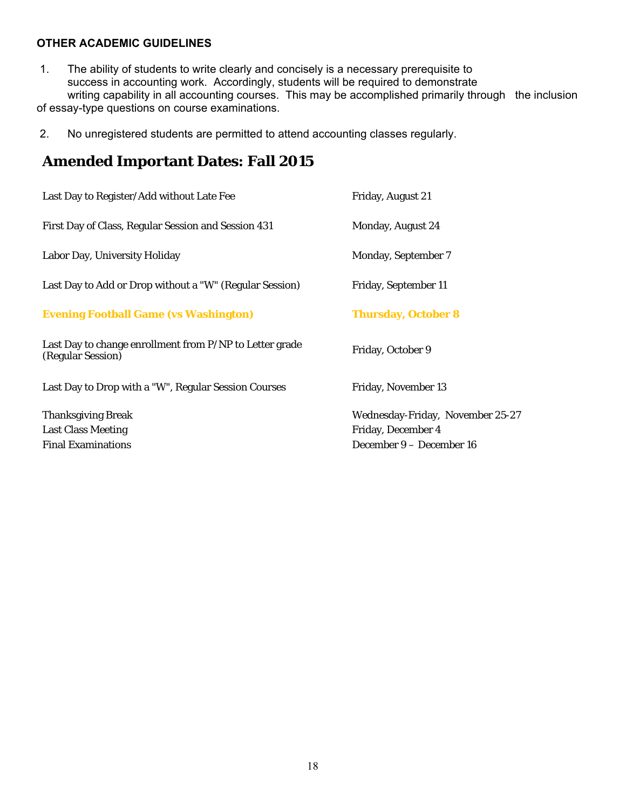## **OTHER ACADEMIC GUIDELINES**

- 1. The ability of students to write clearly and concisely is a necessary prerequisite to success in accounting work. Accordingly, students will be required to demonstrate writing capability in all accounting courses. This may be accomplished primarily through the inclusion of essay-type questions on course examinations.
- 2. No unregistered students are permitted to attend accounting classes regularly.

## **Amended Important Dates: Fall 2015**

| Last Day to Register/Add without Late Fee                                    | Friday, August 21                |
|------------------------------------------------------------------------------|----------------------------------|
| First Day of Class, Regular Session and Session 431                          | Monday, August 24                |
| Labor Day, University Holiday                                                | <b>Monday, September 7</b>       |
| Last Day to Add or Drop without a "W" (Regular Session)                      | Friday, September 11             |
| <b>Evening Football Game (vs Washington)</b>                                 | <b>Thursday, October 8</b>       |
| Last Day to change enrollment from P/NP to Letter grade<br>(Regular Session) | Friday, October 9                |
| Last Day to Drop with a "W", Regular Session Courses                         | Friday, November 13              |
| <b>Thanksgiving Break</b>                                                    | Wednesday-Friday, November 25-27 |
| <b>Last Class Meeting</b>                                                    | Friday, December 4               |
| <b>Final Examinations</b>                                                    | December 9 - December 16         |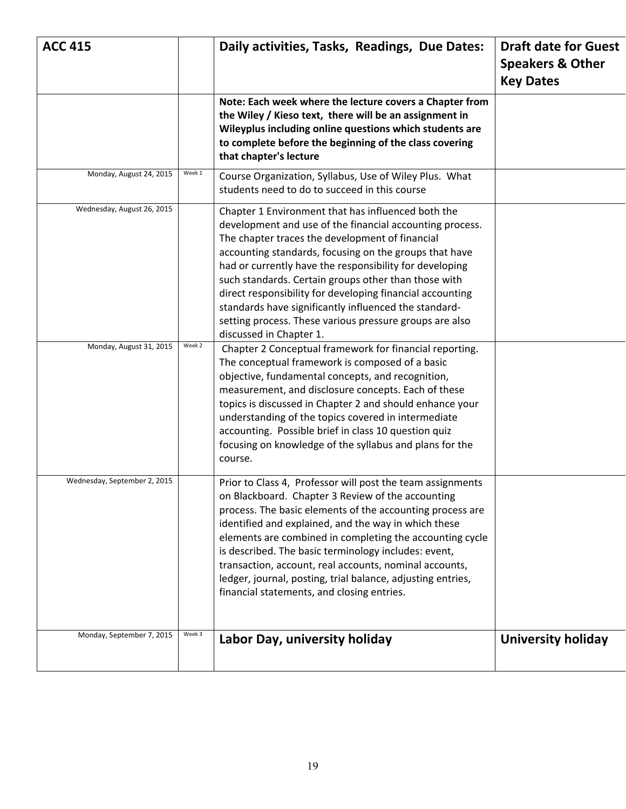| <b>ACC 415</b>               |        | Daily activities, Tasks, Readings, Due Dates:                                                                                                                                                                                                                                                                                                                                                                                                                                                                                                              | <b>Draft date for Guest</b><br><b>Speakers &amp; Other</b><br><b>Key Dates</b> |
|------------------------------|--------|------------------------------------------------------------------------------------------------------------------------------------------------------------------------------------------------------------------------------------------------------------------------------------------------------------------------------------------------------------------------------------------------------------------------------------------------------------------------------------------------------------------------------------------------------------|--------------------------------------------------------------------------------|
|                              |        | Note: Each week where the lecture covers a Chapter from<br>the Wiley / Kieso text, there will be an assignment in<br>Wileyplus including online questions which students are<br>to complete before the beginning of the class covering<br>that chapter's lecture                                                                                                                                                                                                                                                                                           |                                                                                |
| Monday, August 24, 2015      | Week 1 | Course Organization, Syllabus, Use of Wiley Plus. What<br>students need to do to succeed in this course                                                                                                                                                                                                                                                                                                                                                                                                                                                    |                                                                                |
| Wednesday, August 26, 2015   |        | Chapter 1 Environment that has influenced both the<br>development and use of the financial accounting process.<br>The chapter traces the development of financial<br>accounting standards, focusing on the groups that have<br>had or currently have the responsibility for developing<br>such standards. Certain groups other than those with<br>direct responsibility for developing financial accounting<br>standards have significantly influenced the standard-<br>setting process. These various pressure groups are also<br>discussed in Chapter 1. |                                                                                |
| Monday, August 31, 2015      | Week 2 | Chapter 2 Conceptual framework for financial reporting.<br>The conceptual framework is composed of a basic<br>objective, fundamental concepts, and recognition,<br>measurement, and disclosure concepts. Each of these<br>topics is discussed in Chapter 2 and should enhance your<br>understanding of the topics covered in intermediate<br>accounting. Possible brief in class 10 question quiz<br>focusing on knowledge of the syllabus and plans for the<br>course.                                                                                    |                                                                                |
| Wednesday, September 2, 2015 |        | Prior to Class 4, Professor will post the team assignments<br>on Blackboard. Chapter 3 Review of the accounting<br>process. The basic elements of the accounting process are<br>identified and explained, and the way in which these<br>elements are combined in completing the accounting cycle<br>is described. The basic terminology includes: event,<br>transaction, account, real accounts, nominal accounts,<br>ledger, journal, posting, trial balance, adjusting entries,<br>financial statements, and closing entries.                            |                                                                                |
| Monday, September 7, 2015    | Week 3 | Labor Day, university holiday                                                                                                                                                                                                                                                                                                                                                                                                                                                                                                                              | <b>University holiday</b>                                                      |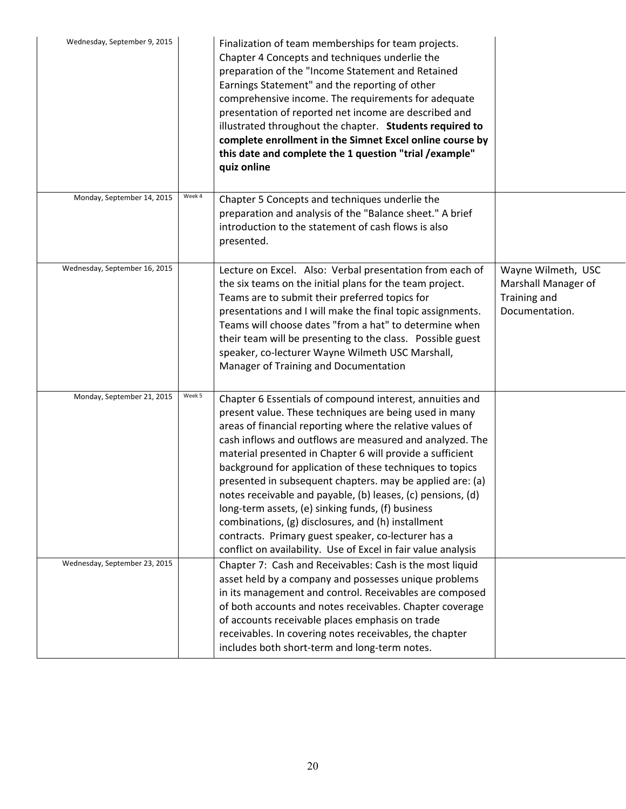| Wednesday, September 9, 2015  |        | Finalization of team memberships for team projects.<br>Chapter 4 Concepts and techniques underlie the<br>preparation of the "Income Statement and Retained<br>Earnings Statement" and the reporting of other<br>comprehensive income. The requirements for adequate<br>presentation of reported net income are described and<br>illustrated throughout the chapter. Students required to<br>complete enrollment in the Simnet Excel online course by<br>this date and complete the 1 question "trial / example"<br>quiz online                                                                                                                                                                                                      |                                                                             |
|-------------------------------|--------|-------------------------------------------------------------------------------------------------------------------------------------------------------------------------------------------------------------------------------------------------------------------------------------------------------------------------------------------------------------------------------------------------------------------------------------------------------------------------------------------------------------------------------------------------------------------------------------------------------------------------------------------------------------------------------------------------------------------------------------|-----------------------------------------------------------------------------|
| Monday, September 14, 2015    | Week 4 | Chapter 5 Concepts and techniques underlie the<br>preparation and analysis of the "Balance sheet." A brief<br>introduction to the statement of cash flows is also<br>presented.                                                                                                                                                                                                                                                                                                                                                                                                                                                                                                                                                     |                                                                             |
| Wednesday, September 16, 2015 |        | Lecture on Excel. Also: Verbal presentation from each of<br>the six teams on the initial plans for the team project.<br>Teams are to submit their preferred topics for<br>presentations and I will make the final topic assignments.<br>Teams will choose dates "from a hat" to determine when<br>their team will be presenting to the class. Possible guest<br>speaker, co-lecturer Wayne Wilmeth USC Marshall,<br>Manager of Training and Documentation                                                                                                                                                                                                                                                                           | Wayne Wilmeth, USC<br>Marshall Manager of<br>Training and<br>Documentation. |
| Monday, September 21, 2015    | Week 5 | Chapter 6 Essentials of compound interest, annuities and<br>present value. These techniques are being used in many<br>areas of financial reporting where the relative values of<br>cash inflows and outflows are measured and analyzed. The<br>material presented in Chapter 6 will provide a sufficient<br>background for application of these techniques to topics<br>presented in subsequent chapters. may be applied are: (a)<br>notes receivable and payable, (b) leases, (c) pensions, (d)<br>long-term assets, (e) sinking funds, (f) business<br>combinations, (g) disclosures, and (h) installment<br>contracts. Primary guest speaker, co-lecturer has a<br>conflict on availability. Use of Excel in fair value analysis |                                                                             |
| Wednesday, September 23, 2015 |        | Chapter 7: Cash and Receivables: Cash is the most liquid<br>asset held by a company and possesses unique problems<br>in its management and control. Receivables are composed<br>of both accounts and notes receivables. Chapter coverage<br>of accounts receivable places emphasis on trade<br>receivables. In covering notes receivables, the chapter<br>includes both short-term and long-term notes.                                                                                                                                                                                                                                                                                                                             |                                                                             |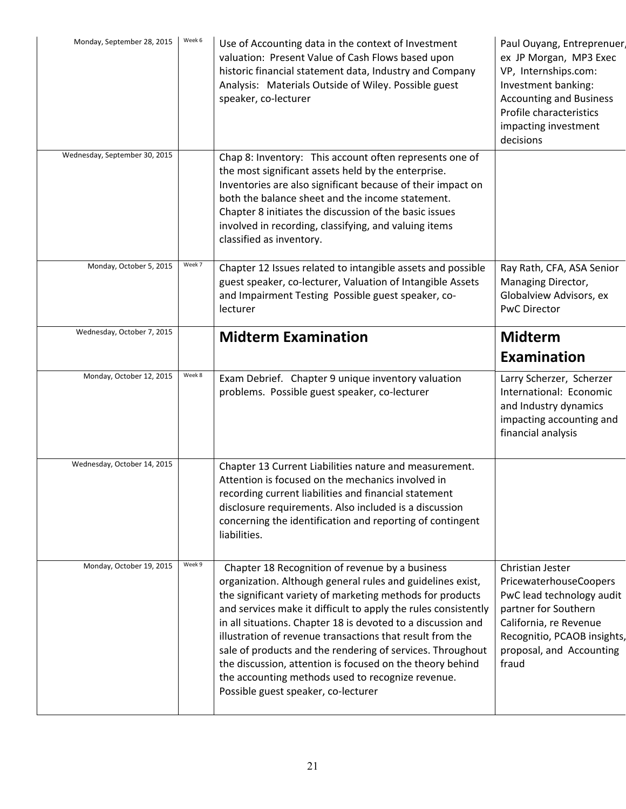| Monday, September 28, 2015    | Week 6 | Use of Accounting data in the context of Investment<br>valuation: Present Value of Cash Flows based upon<br>historic financial statement data, Industry and Company<br>Analysis: Materials Outside of Wiley. Possible guest<br>speaker, co-lecturer                                                                                                                                                                                                                                                                                                       | Paul Ouyang, Entreprenuer<br>ex JP Morgan, MP3 Exec<br>VP, Internships.com:<br>Investment banking:<br><b>Accounting and Business</b><br>Profile characteristics<br>impacting investment<br>decisions |
|-------------------------------|--------|-----------------------------------------------------------------------------------------------------------------------------------------------------------------------------------------------------------------------------------------------------------------------------------------------------------------------------------------------------------------------------------------------------------------------------------------------------------------------------------------------------------------------------------------------------------|------------------------------------------------------------------------------------------------------------------------------------------------------------------------------------------------------|
| Wednesday, September 30, 2015 |        | Chap 8: Inventory: This account often represents one of<br>the most significant assets held by the enterprise.<br>Inventories are also significant because of their impact on<br>both the balance sheet and the income statement.<br>Chapter 8 initiates the discussion of the basic issues<br>involved in recording, classifying, and valuing items<br>classified as inventory.                                                                                                                                                                          |                                                                                                                                                                                                      |
| Monday, October 5, 2015       | Week 7 | Chapter 12 Issues related to intangible assets and possible<br>guest speaker, co-lecturer, Valuation of Intangible Assets<br>and Impairment Testing Possible guest speaker, co-<br>lecturer                                                                                                                                                                                                                                                                                                                                                               | Ray Rath, CFA, ASA Senior<br>Managing Director,<br>Globalview Advisors, ex<br><b>PwC Director</b>                                                                                                    |
| Wednesday, October 7, 2015    |        | <b>Midterm Examination</b>                                                                                                                                                                                                                                                                                                                                                                                                                                                                                                                                | <b>Midterm</b><br><b>Examination</b>                                                                                                                                                                 |
| Monday, October 12, 2015      | Week 8 | Exam Debrief. Chapter 9 unique inventory valuation<br>problems. Possible guest speaker, co-lecturer                                                                                                                                                                                                                                                                                                                                                                                                                                                       | Larry Scherzer, Scherzer<br>International: Economic<br>and Industry dynamics<br>impacting accounting and<br>financial analysis                                                                       |
| Wednesday, October 14, 2015   |        | Chapter 13 Current Liabilities nature and measurement.<br>Attention is focused on the mechanics involved in<br>recording current liabilities and financial statement<br>disclosure requirements. Also included is a discussion<br>concerning the identification and reporting of contingent<br>liabilities.                                                                                                                                                                                                                                               |                                                                                                                                                                                                      |
| Monday, October 19, 2015      | Week 9 | Chapter 18 Recognition of revenue by a business<br>organization. Although general rules and guidelines exist,<br>the significant variety of marketing methods for products<br>and services make it difficult to apply the rules consistently<br>in all situations. Chapter 18 is devoted to a discussion and<br>illustration of revenue transactions that result from the<br>sale of products and the rendering of services. Throughout<br>the discussion, attention is focused on the theory behind<br>the accounting methods used to recognize revenue. | Christian Jester<br>PricewaterhouseCoopers<br>PwC lead technology audit<br>partner for Southern<br>California, re Revenue<br>Recognitio, PCAOB insights,<br>proposal, and Accounting<br>fraud        |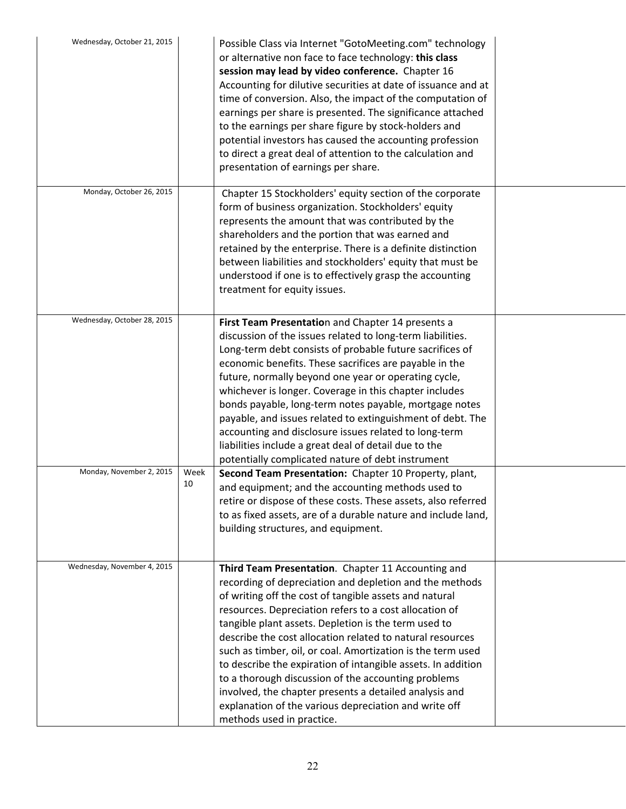| Wednesday, October 21, 2015 |            | Possible Class via Internet "GotoMeeting.com" technology<br>or alternative non face to face technology: this class<br>session may lead by video conference. Chapter 16<br>Accounting for dilutive securities at date of issuance and at<br>time of conversion. Also, the impact of the computation of<br>earnings per share is presented. The significance attached<br>to the earnings per share figure by stock-holders and<br>potential investors has caused the accounting profession<br>to direct a great deal of attention to the calculation and<br>presentation of earnings per share.                                                                                                |  |
|-----------------------------|------------|----------------------------------------------------------------------------------------------------------------------------------------------------------------------------------------------------------------------------------------------------------------------------------------------------------------------------------------------------------------------------------------------------------------------------------------------------------------------------------------------------------------------------------------------------------------------------------------------------------------------------------------------------------------------------------------------|--|
| Monday, October 26, 2015    |            | Chapter 15 Stockholders' equity section of the corporate<br>form of business organization. Stockholders' equity<br>represents the amount that was contributed by the<br>shareholders and the portion that was earned and<br>retained by the enterprise. There is a definite distinction<br>between liabilities and stockholders' equity that must be<br>understood if one is to effectively grasp the accounting<br>treatment for equity issues.                                                                                                                                                                                                                                             |  |
| Wednesday, October 28, 2015 |            | First Team Presentation and Chapter 14 presents a<br>discussion of the issues related to long-term liabilities.<br>Long-term debt consists of probable future sacrifices of<br>economic benefits. These sacrifices are payable in the<br>future, normally beyond one year or operating cycle,<br>whichever is longer. Coverage in this chapter includes<br>bonds payable, long-term notes payable, mortgage notes<br>payable, and issues related to extinguishment of debt. The<br>accounting and disclosure issues related to long-term<br>liabilities include a great deal of detail due to the<br>potentially complicated nature of debt instrument                                       |  |
| Monday, November 2, 2015    | Week<br>10 | Second Team Presentation: Chapter 10 Property, plant,<br>and equipment; and the accounting methods used to<br>retire or dispose of these costs. These assets, also referred<br>to as fixed assets, are of a durable nature and include land,<br>building structures, and equipment.                                                                                                                                                                                                                                                                                                                                                                                                          |  |
| Wednesday, November 4, 2015 |            | Third Team Presentation. Chapter 11 Accounting and<br>recording of depreciation and depletion and the methods<br>of writing off the cost of tangible assets and natural<br>resources. Depreciation refers to a cost allocation of<br>tangible plant assets. Depletion is the term used to<br>describe the cost allocation related to natural resources<br>such as timber, oil, or coal. Amortization is the term used<br>to describe the expiration of intangible assets. In addition<br>to a thorough discussion of the accounting problems<br>involved, the chapter presents a detailed analysis and<br>explanation of the various depreciation and write off<br>methods used in practice. |  |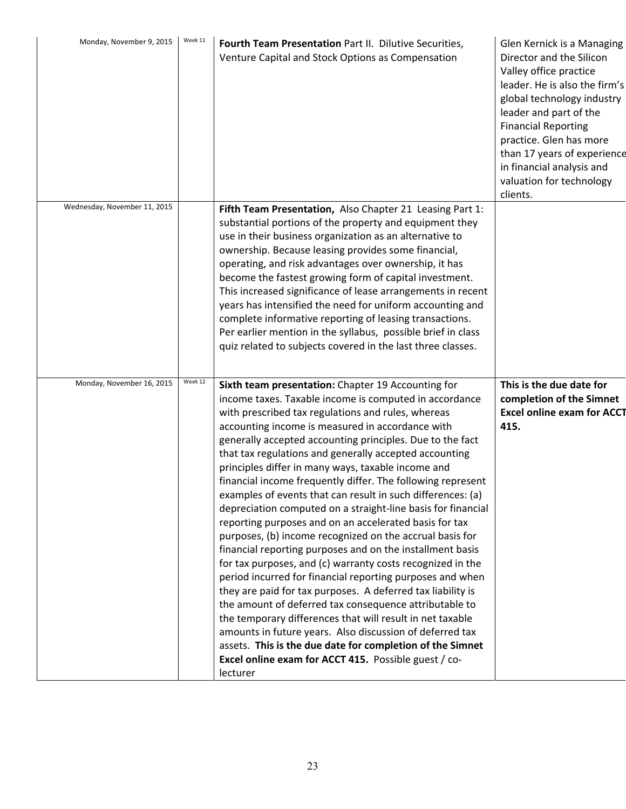| Monday, November 9, 2015     | Week 11 | Fourth Team Presentation Part II. Dilutive Securities,<br>Venture Capital and Stock Options as Compensation                                                                                                                                                                                                                                                                                                                                                                                                                                                                                                                                                                                                                                                                                                                                                                                                                                                                                                                                                                                                                                                                                                                                                                                        | Glen Kernick is a Managing<br>Director and the Silicon<br>Valley office practice<br>leader. He is also the firm's<br>global technology industry<br>leader and part of the<br><b>Financial Reporting</b><br>practice. Glen has more<br>than 17 years of experience<br>in financial analysis and<br>valuation for technology<br>clients. |
|------------------------------|---------|----------------------------------------------------------------------------------------------------------------------------------------------------------------------------------------------------------------------------------------------------------------------------------------------------------------------------------------------------------------------------------------------------------------------------------------------------------------------------------------------------------------------------------------------------------------------------------------------------------------------------------------------------------------------------------------------------------------------------------------------------------------------------------------------------------------------------------------------------------------------------------------------------------------------------------------------------------------------------------------------------------------------------------------------------------------------------------------------------------------------------------------------------------------------------------------------------------------------------------------------------------------------------------------------------|----------------------------------------------------------------------------------------------------------------------------------------------------------------------------------------------------------------------------------------------------------------------------------------------------------------------------------------|
| Wednesday, November 11, 2015 |         | Fifth Team Presentation, Also Chapter 21 Leasing Part 1:<br>substantial portions of the property and equipment they<br>use in their business organization as an alternative to<br>ownership. Because leasing provides some financial,<br>operating, and risk advantages over ownership, it has<br>become the fastest growing form of capital investment.<br>This increased significance of lease arrangements in recent<br>years has intensified the need for uniform accounting and<br>complete informative reporting of leasing transactions.<br>Per earlier mention in the syllabus, possible brief in class<br>quiz related to subjects covered in the last three classes.                                                                                                                                                                                                                                                                                                                                                                                                                                                                                                                                                                                                                     |                                                                                                                                                                                                                                                                                                                                        |
| Monday, November 16, 2015    | Week 12 | Sixth team presentation: Chapter 19 Accounting for<br>income taxes. Taxable income is computed in accordance<br>with prescribed tax regulations and rules, whereas<br>accounting income is measured in accordance with<br>generally accepted accounting principles. Due to the fact<br>that tax regulations and generally accepted accounting<br>principles differ in many ways, taxable income and<br>financial income frequently differ. The following represent<br>examples of events that can result in such differences: (a)<br>depreciation computed on a straight-line basis for financial<br>reporting purposes and on an accelerated basis for tax<br>purposes, (b) income recognized on the accrual basis for<br>financial reporting purposes and on the installment basis<br>for tax purposes, and (c) warranty costs recognized in the<br>period incurred for financial reporting purposes and when<br>they are paid for tax purposes. A deferred tax liability is<br>the amount of deferred tax consequence attributable to<br>the temporary differences that will result in net taxable<br>amounts in future years. Also discussion of deferred tax<br>assets. This is the due date for completion of the Simnet<br>Excel online exam for ACCT 415. Possible guest / co-<br>lecturer | This is the due date for<br>completion of the Simnet<br><b>Excel online exam for ACCT</b><br>415.                                                                                                                                                                                                                                      |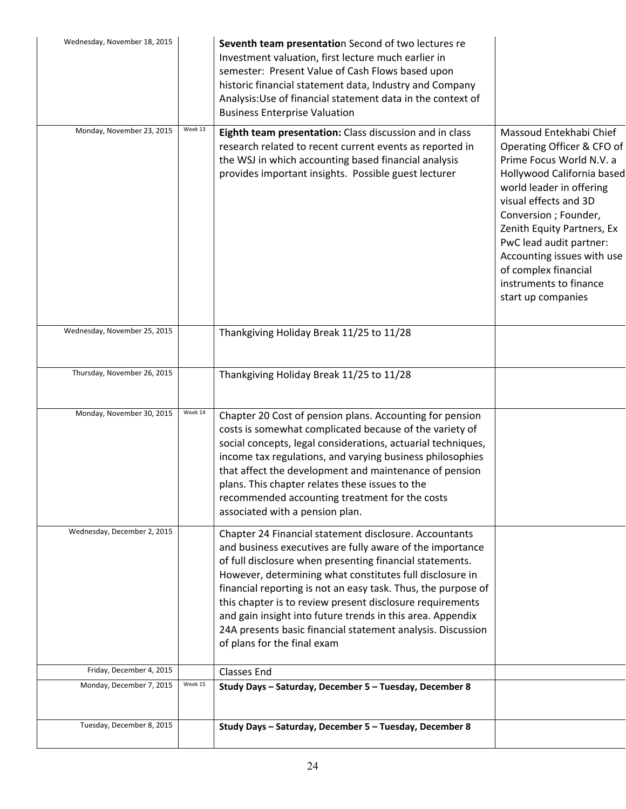| Wednesday, November 18, 2015 |         | Seventh team presentation Second of two lectures re<br>Investment valuation, first lecture much earlier in<br>semester: Present Value of Cash Flows based upon<br>historic financial statement data, Industry and Company<br>Analysis: Use of financial statement data in the context of<br><b>Business Enterprise Valuation</b>                                                                                                                                                                                                      |                                                                                                                                                                                                                                                                                                                                                              |
|------------------------------|---------|---------------------------------------------------------------------------------------------------------------------------------------------------------------------------------------------------------------------------------------------------------------------------------------------------------------------------------------------------------------------------------------------------------------------------------------------------------------------------------------------------------------------------------------|--------------------------------------------------------------------------------------------------------------------------------------------------------------------------------------------------------------------------------------------------------------------------------------------------------------------------------------------------------------|
| Monday, November 23, 2015    | Week 13 | Eighth team presentation: Class discussion and in class<br>research related to recent current events as reported in<br>the WSJ in which accounting based financial analysis<br>provides important insights. Possible guest lecturer                                                                                                                                                                                                                                                                                                   | Massoud Entekhabi Chief<br>Operating Officer & CFO of<br>Prime Focus World N.V. a<br>Hollywood California based<br>world leader in offering<br>visual effects and 3D<br>Conversion ; Founder,<br>Zenith Equity Partners, Ex<br>PwC lead audit partner:<br>Accounting issues with use<br>of complex financial<br>instruments to finance<br>start up companies |
| Wednesday, November 25, 2015 |         | Thankgiving Holiday Break 11/25 to 11/28                                                                                                                                                                                                                                                                                                                                                                                                                                                                                              |                                                                                                                                                                                                                                                                                                                                                              |
| Thursday, November 26, 2015  |         | Thankgiving Holiday Break 11/25 to 11/28                                                                                                                                                                                                                                                                                                                                                                                                                                                                                              |                                                                                                                                                                                                                                                                                                                                                              |
| Monday, November 30, 2015    | Week 14 | Chapter 20 Cost of pension plans. Accounting for pension<br>costs is somewhat complicated because of the variety of<br>social concepts, legal considerations, actuarial techniques,<br>income tax regulations, and varying business philosophies<br>that affect the development and maintenance of pension<br>plans. This chapter relates these issues to the<br>recommended accounting treatment for the costs<br>associated with a pension plan.                                                                                    |                                                                                                                                                                                                                                                                                                                                                              |
| Wednesday, December 2, 2015  |         | Chapter 24 Financial statement disclosure. Accountants<br>and business executives are fully aware of the importance<br>of full disclosure when presenting financial statements.<br>However, determining what constitutes full disclosure in<br>financial reporting is not an easy task. Thus, the purpose of<br>this chapter is to review present disclosure requirements<br>and gain insight into future trends in this area. Appendix<br>24A presents basic financial statement analysis. Discussion<br>of plans for the final exam |                                                                                                                                                                                                                                                                                                                                                              |
| Friday, December 4, 2015     |         | <b>Classes End</b>                                                                                                                                                                                                                                                                                                                                                                                                                                                                                                                    |                                                                                                                                                                                                                                                                                                                                                              |
| Monday, December 7, 2015     | Week 15 | Study Days - Saturday, December 5 - Tuesday, December 8                                                                                                                                                                                                                                                                                                                                                                                                                                                                               |                                                                                                                                                                                                                                                                                                                                                              |
| Tuesday, December 8, 2015    |         | Study Days - Saturday, December 5 - Tuesday, December 8                                                                                                                                                                                                                                                                                                                                                                                                                                                                               |                                                                                                                                                                                                                                                                                                                                                              |